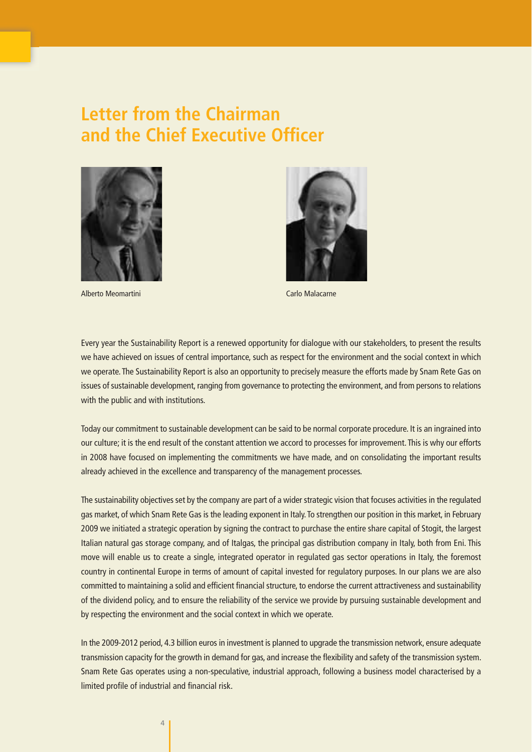## **Letter from the Chairman and the Chief Executive Officer**



Alberto Meomartini Carlo Malacarne



Every year the Sustainability Report is a renewed opportunity for dialogue with our stakeholders, to present the results we have achieved on issues of central importance, such as respect for the environment and the social context in which we operate. The Sustainability Report is also an opportunity to precisely measure the efforts made by Snam Rete Gas on issues of sustainable development, ranging from governance to protecting the environment, and from persons to relations with the public and with institutions.

Today our commitment to sustainable development can be said to be normal corporate procedure. It is an ingrained into our culture; it is the end result of the constant attention we accord to processes for improvement. This is why our efforts in 2008 have focused on implementing the commitments we have made, and on consolidating the important results already achieved in the excellence and transparency of the management processes.

The sustainability objectives set by the company are part of a wider strategic vision that focuses activities in the regulated gas market, of which Snam Rete Gas is the leading exponent in Italy. To strengthen our position in this market, in February 2009 we initiated a strategic operation by signing the contract to purchase the entire share capital of Stogit, the largest Italian natural gas storage company, and of Italgas, the principal gas distribution company in Italy, both from Eni. This move will enable us to create a single, integrated operator in regulated gas sector operations in Italy, the foremost country in continental Europe in terms of amount of capital invested for regulatory purposes. In our plans we are also committed to maintaining a solid and efficient financial structure, to endorse the current attractiveness and sustainability of the dividend policy, and to ensure the reliability of the service we provide by pursuing sustainable development and by respecting the environment and the social context in which we operate.

In the 2009-2012 period, 4.3 billion euros in investment is planned to upgrade the transmission network, ensure adequate transmission capacity for the growth in demand for gas, and increase the flexibility and safety of the transmission system. Snam Rete Gas operates using a non-speculative, industrial approach, following a business model characterised by a limited profile of industrial and financial risk.